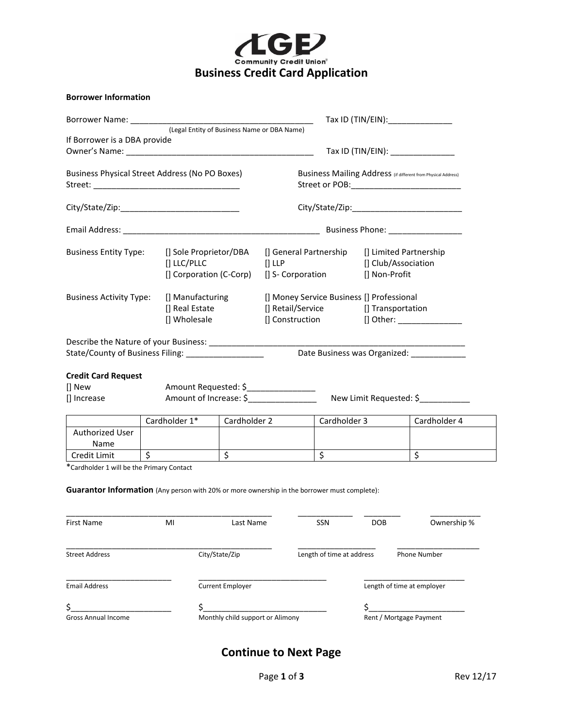

|  | <b>Borrower Information</b> |
|--|-----------------------------|
|--|-----------------------------|

| If Borrower is a DBA provide                                                                                                                     |  |                                                    |                                                               |  |                                                                    |                                                                                                                              |                                      |                            |                                            |
|--------------------------------------------------------------------------------------------------------------------------------------------------|--|----------------------------------------------------|---------------------------------------------------------------|--|--------------------------------------------------------------------|------------------------------------------------------------------------------------------------------------------------------|--------------------------------------|----------------------------|--------------------------------------------|
|                                                                                                                                                  |  |                                                    |                                                               |  |                                                                    | Tax ID (TIN/EIN): _______________                                                                                            |                                      |                            |                                            |
| Business Physical Street Address (No PO Boxes)                                                                                                   |  |                                                    | Business Mailing Address (if different from Physical Address) |  |                                                                    |                                                                                                                              |                                      |                            |                                            |
|                                                                                                                                                  |  |                                                    |                                                               |  |                                                                    |                                                                                                                              |                                      |                            |                                            |
|                                                                                                                                                  |  |                                                    |                                                               |  |                                                                    |                                                                                                                              |                                      |                            |                                            |
| <b>Business Entity Type:</b><br>[] Sole Proprietor/DBA<br>[] LLC/PLLC<br>[] Corporation (C-Corp)                                                 |  |                                                    | $[]$ LLP                                                      |  | [] General Partnership [] Limited Partnership<br>[] S- Corporation |                                                                                                                              | [] Club/Association<br>[] Non-Profit |                            |                                            |
| <b>Business Activity Type:</b>                                                                                                                   |  | [] Manufacturing<br>[] Real Estate<br>[] Wholesale |                                                               |  |                                                                    | [] Money Service Business [] Professional<br>[] Retail/Service [] Transportation<br>[] Construction [] Other: ______________ |                                      |                            |                                            |
| State/County of Business Filing: ____________________                                                                                            |  |                                                    |                                                               |  |                                                                    |                                                                                                                              |                                      |                            | Date Business was Organized: _____________ |
| <b>Credit Card Request</b>                                                                                                                       |  |                                                    |                                                               |  |                                                                    |                                                                                                                              |                                      |                            |                                            |
| [] New                                                                                                                                           |  | Amount Requested: \$__________________             |                                                               |  |                                                                    |                                                                                                                              |                                      |                            |                                            |
| [] Increase                                                                                                                                      |  | Amount of Increase: \$                             |                                                               |  |                                                                    |                                                                                                                              |                                      |                            | New Limit Requested: \$____________        |
|                                                                                                                                                  |  | Cardholder 1*                                      | Cardholder 2                                                  |  |                                                                    | Cardholder 3                                                                                                                 |                                      |                            | Cardholder 4                               |
| Authorized User<br>Name                                                                                                                          |  |                                                    |                                                               |  |                                                                    |                                                                                                                              |                                      |                            |                                            |
| $\frac{1}{5}$<br>Credit Limit                                                                                                                    |  |                                                    | \$                                                            |  |                                                                    | $\overline{\mathsf{S}}$                                                                                                      |                                      | $\zeta$                    |                                            |
| *Cardholder 1 will be the Primary Contact<br><b>Guarantor Information</b> (Any person with 20% or more ownership in the borrower must complete): |  |                                                    |                                                               |  |                                                                    |                                                                                                                              |                                      |                            |                                            |
| First Name MI MI Last Name                                                                                                                       |  |                                                    |                                                               |  |                                                                    | SSN                                                                                                                          | DOB                                  |                            | Ownership %                                |
| <b>Street Address</b>                                                                                                                            |  |                                                    | City/State/Zip                                                |  |                                                                    | Length of time at address                                                                                                    |                                      | Phone Number               |                                            |
| <b>Email Address</b>                                                                                                                             |  |                                                    | <b>Current Employer</b>                                       |  |                                                                    |                                                                                                                              |                                      | Length of time at employer |                                            |
| \$                                                                                                                                               |  | \$                                                 |                                                               |  |                                                                    |                                                                                                                              | \$                                   |                            |                                            |

Gross Annual Income **Monthly child support or Alimony** Rent / Mortgage Payment

# **Continue to Next Page**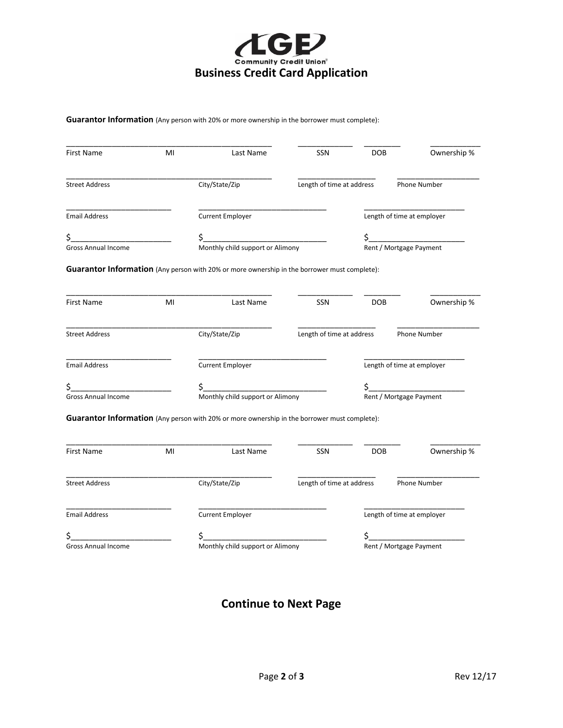

#### **Guarantor Information** (Any person with 20% or more ownership in the borrower must complete):

| <b>First Name</b>                | MI | Last Name                                                                                    | <b>SSN</b>                | <b>DOB</b>                    | Ownership %                |  |  |
|----------------------------------|----|----------------------------------------------------------------------------------------------|---------------------------|-------------------------------|----------------------------|--|--|
| <b>Street Address</b>            |    | City/State/Zip                                                                               | Length of time at address |                               | Phone Number               |  |  |
| <b>Email Address</b>             |    | Current Employer                                                                             |                           |                               | Length of time at employer |  |  |
| Gross Annual Income              |    | \$.<br>\$<br>Monthly child support or Alimony                                                |                           |                               |                            |  |  |
|                                  |    | Guarantor Information (Any person with 20% or more ownership in the borrower must complete): |                           |                               |                            |  |  |
| First Name                       | MI | Last Name                                                                                    | SSN                       | <b>DOB</b>                    | Ownership %                |  |  |
| <b>Street Address</b>            |    | City/State/Zip                                                                               | Length of time at address |                               | Phone Number               |  |  |
| <b>Email Address</b>             |    | <b>Current Employer</b>                                                                      |                           |                               | Length of time at employer |  |  |
| \$<br><b>Gross Annual Income</b> |    | \$<br>Monthly child support or Alimony                                                       |                           | \$<br>Rent / Mortgage Payment |                            |  |  |
|                                  |    | Guarantor Information (Any person with 20% or more ownership in the borrower must complete): |                           |                               |                            |  |  |
| First Name                       | MI | Last Name                                                                                    | <b>SSN</b>                | <b>DOB</b>                    | Ownership %                |  |  |
| <b>Street Address</b>            |    | City/State/Zip                                                                               | Length of time at address |                               | Phone Number               |  |  |
| <b>Email Address</b>             |    | <b>Current Employer</b>                                                                      |                           |                               | Length of time at employer |  |  |
| \$<br><b>Gross Annual Income</b> |    | \$_<br>Monthly child support or Alimony                                                      |                           | \$                            | Rent / Mortgage Payment    |  |  |

# **Continue to Next Page**